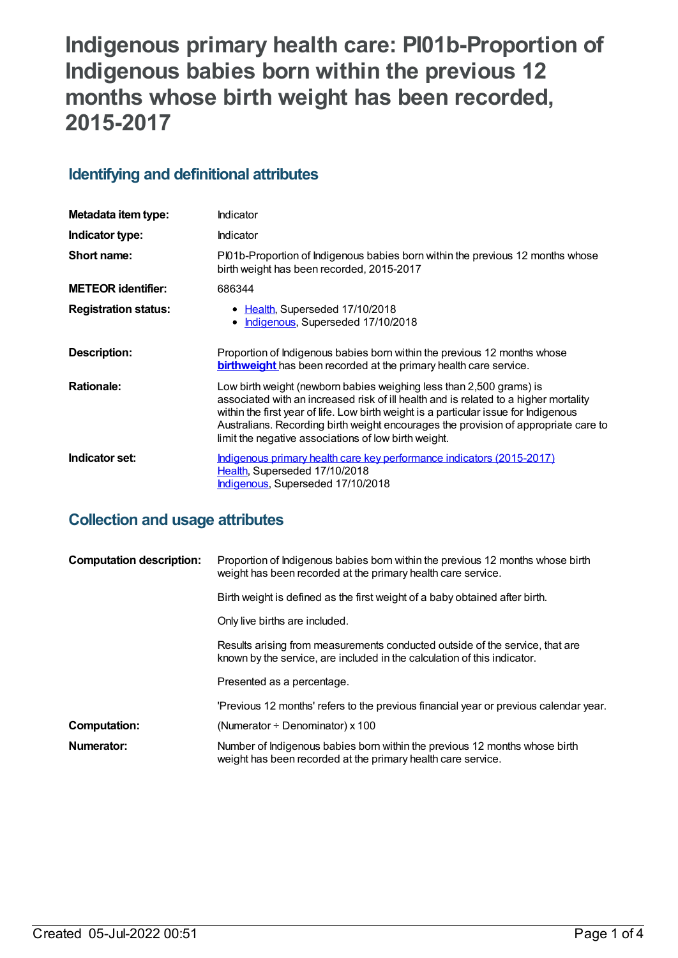# **Indigenous primary health care: PI01b-Proportion of Indigenous babies born within the previous 12 months whose birth weight has been recorded, 2015-2017**

## **Identifying and definitional attributes**

| Metadata item type:         | Indicator                                                                                                                                                                                                                                                                                                                                                                                          |
|-----------------------------|----------------------------------------------------------------------------------------------------------------------------------------------------------------------------------------------------------------------------------------------------------------------------------------------------------------------------------------------------------------------------------------------------|
| Indicator type:             | Indicator                                                                                                                                                                                                                                                                                                                                                                                          |
| Short name:                 | Pl01b-Proportion of Indigenous babies born within the previous 12 months whose<br>birth weight has been recorded, 2015-2017                                                                                                                                                                                                                                                                        |
| <b>METEOR identifier:</b>   | 686344                                                                                                                                                                                                                                                                                                                                                                                             |
| <b>Registration status:</b> | • Health, Superseded 17/10/2018<br>• Indigenous, Superseded 17/10/2018                                                                                                                                                                                                                                                                                                                             |
| Description:                | Proportion of Indigenous babies born within the previous 12 months whose<br><b>birthweight</b> has been recorded at the primary health care service.                                                                                                                                                                                                                                               |
| <b>Rationale:</b>           | Low birth weight (newborn babies weighing less than 2,500 grams) is<br>associated with an increased risk of ill health and is related to a higher mortality<br>within the first year of life. Low birth weight is a particular issue for Indigenous<br>Australians. Recording birth weight encourages the provision of appropriate care to<br>limit the negative associations of low birth weight. |
| Indicator set:              | Indigenous primary health care key performance indicators (2015-2017)<br>Health, Superseded 17/10/2018<br>Indigenous, Superseded 17/10/2018                                                                                                                                                                                                                                                        |

# **Collection and usage attributes**

| <b>Computation description:</b> | Proportion of Indigenous babies born within the previous 12 months whose birth<br>weight has been recorded at the primary health care service.           |
|---------------------------------|----------------------------------------------------------------------------------------------------------------------------------------------------------|
|                                 | Birth weight is defined as the first weight of a baby obtained after birth.                                                                              |
|                                 | Only live births are included.                                                                                                                           |
|                                 | Results arising from measurements conducted outside of the service, that are<br>known by the service, are included in the calculation of this indicator. |
|                                 | Presented as a percentage.                                                                                                                               |
|                                 | 'Previous 12 months' refers to the previous financial year or previous calendar year.                                                                    |
| <b>Computation:</b>             | (Numerator $\div$ Denominator) x 100                                                                                                                     |
| Numerator:                      | Number of Indigenous babies born within the previous 12 months whose birth<br>weight has been recorded at the primary health care service.               |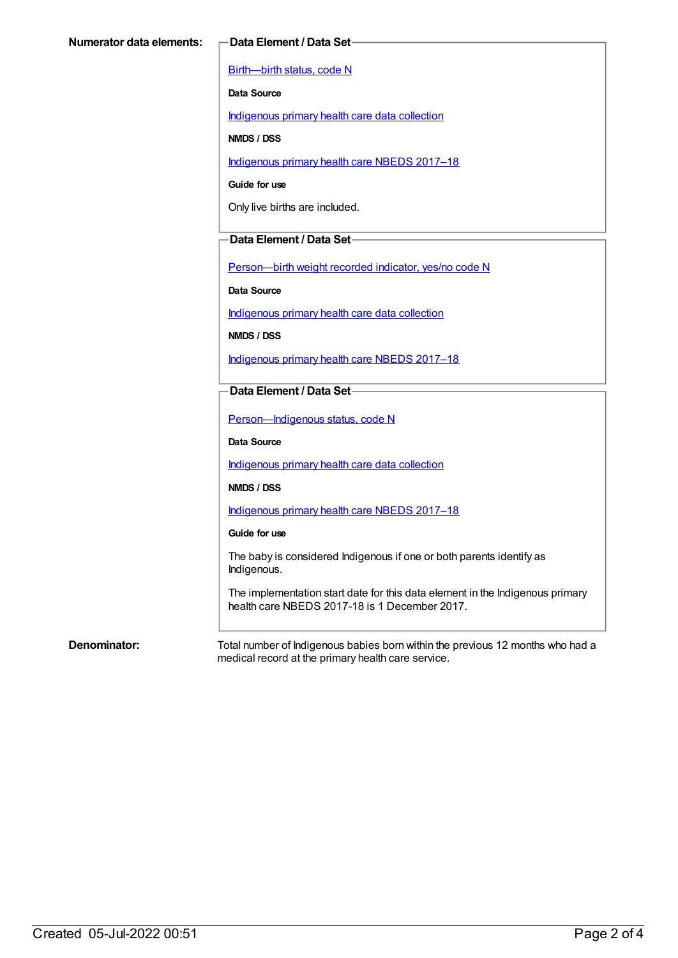[Birth—birth](https://meteor.aihw.gov.au/content/269949) status, code N

**Data Source**

[Indigenous](https://meteor.aihw.gov.au/content/430643) primary health care data collection

**NMDS / DSS**

[Indigenous](https://meteor.aihw.gov.au/content/686603) primary health care NBEDS 2017–18

**Guide for use**

Only live births are included.

### **Data Element / Data Set**

[Person—birth](https://meteor.aihw.gov.au/content/441701) weight recorded indicator, yes/no code N

**Data Source**

[Indigenous](https://meteor.aihw.gov.au/content/430643) primary health care data collection

**NMDS / DSS**

[Indigenous](https://meteor.aihw.gov.au/content/686603) primary health care NBEDS 2017–18

### **Data Element / Data Set**

[Person—Indigenous](https://meteor.aihw.gov.au/content/602543) status, code N

**Data Source**

[Indigenous](https://meteor.aihw.gov.au/content/430643) primary health care data collection

**NMDS / DSS**

[Indigenous](https://meteor.aihw.gov.au/content/686603) primary health care NBEDS 2017–18

#### **Guide for use**

The baby is considered Indigenous if one or both parents identify as Indigenous.

The implementation start date for this data element in the Indigenous primary health care NBEDS 2017-18 is 1 December 2017.

**Denominator:** Total number of Indigenous babies born within the previous 12 months who had a medical record at the primary health care service.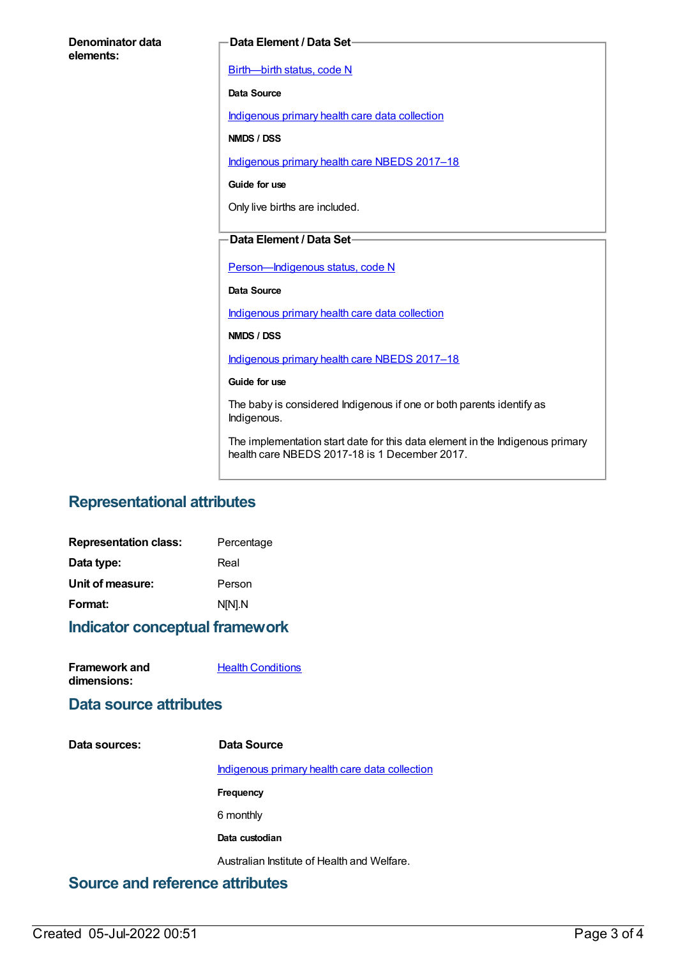| Denominator data<br>elements: | Data Element / Data Set-                                                                                                       |
|-------------------------------|--------------------------------------------------------------------------------------------------------------------------------|
|                               | Birth-birth status, code N                                                                                                     |
|                               | Data Source                                                                                                                    |
|                               | Indigenous primary health care data collection                                                                                 |
|                               | NMDS / DSS                                                                                                                     |
|                               | Indigenous primary health care NBEDS 2017-18                                                                                   |
|                               | Guide for use                                                                                                                  |
|                               | Only live births are included.                                                                                                 |
|                               | Data Element / Data Set-                                                                                                       |
|                               |                                                                                                                                |
|                               | Person-Indigenous status, code N                                                                                               |
|                               | <b>Data Source</b>                                                                                                             |
|                               | Indigenous primary health care data collection                                                                                 |
|                               | NMDS / DSS                                                                                                                     |
|                               | Indigenous primary health care NBEDS 2017-18                                                                                   |
|                               | Guide for use                                                                                                                  |
|                               | The baby is considered Indigenous if one or both parents identify as<br>Indigenous.                                            |
|                               | The implementation start date for this data element in the Indigenous primary<br>health care NBEDS 2017-18 is 1 December 2017. |
|                               |                                                                                                                                |

# **Representational attributes**

| Indicator conceptual framework |            |
|--------------------------------|------------|
| Format:                        | N[N].N     |
| Unit of measure:               | Person     |
| Data type:                     | Real       |
| <b>Representation class:</b>   | Percentage |

| <b>Framework and</b> | <b>Health Conditions</b> |
|----------------------|--------------------------|
| dimensions:          |                          |

## **Data source attributes**

| Data sources: | Data Source                                    |
|---------------|------------------------------------------------|
|               | Indigenous primary health care data collection |
|               | Frequency                                      |
|               | 6 monthly                                      |
|               | Data custodian                                 |
|               | Australian Institute of Health and Welfare.    |

# **Source and reference attributes**